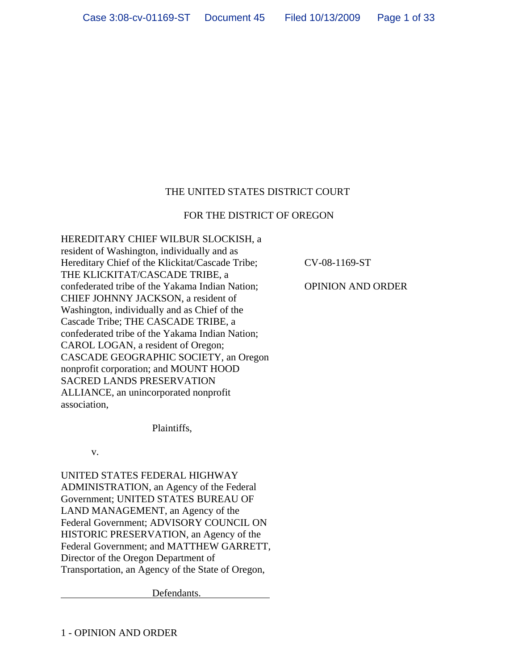# THE UNITED STATES DISTRICT COURT

### FOR THE DISTRICT OF OREGON

HEREDITARY CHIEF WILBUR SLOCKISH, a resident of Washington, individually and as Hereditary Chief of the Klickitat/Cascade Tribe; THE KLICKITAT/CASCADE TRIBE, a confederated tribe of the Yakama Indian Nation; CHIEF JOHNNY JACKSON, a resident of Washington, individually and as Chief of the Cascade Tribe; THE CASCADE TRIBE, a confederated tribe of the Yakama Indian Nation; CAROL LOGAN, a resident of Oregon; CASCADE GEOGRAPHIC SOCIETY, an Oregon nonprofit corporation; and MOUNT HOOD SACRED LANDS PRESERVATION ALLIANCE, an unincorporated nonprofit association,

CV-08-1169-ST

OPINION AND ORDER

Plaintiffs,

v.

UNITED STATES FEDERAL HIGHWAY ADMINISTRATION, an Agency of the Federal Government; UNITED STATES BUREAU OF LAND MANAGEMENT, an Agency of the Federal Government; ADVISORY COUNCIL ON HISTORIC PRESERVATION, an Agency of the Federal Government; and MATTHEW GARRETT, Director of the Oregon Department of Transportation, an Agency of the State of Oregon,

Defendants.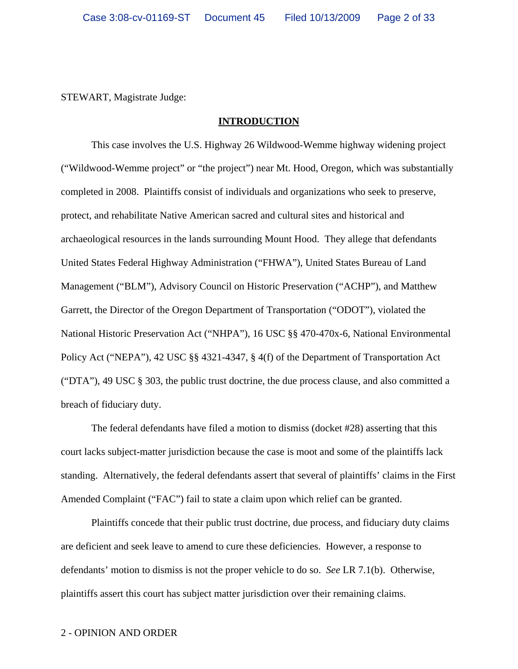STEWART, Magistrate Judge:

### **INTRODUCTION**

This case involves the U.S. Highway 26 Wildwood-Wemme highway widening project ("Wildwood-Wemme project" or "the project") near Mt. Hood, Oregon, which was substantially completed in 2008. Plaintiffs consist of individuals and organizations who seek to preserve, protect, and rehabilitate Native American sacred and cultural sites and historical and archaeological resources in the lands surrounding Mount Hood. They allege that defendants United States Federal Highway Administration ("FHWA"), United States Bureau of Land Management ("BLM"), Advisory Council on Historic Preservation ("ACHP"), and Matthew Garrett, the Director of the Oregon Department of Transportation ("ODOT"), violated the National Historic Preservation Act ("NHPA"), 16 USC §§ 470-470x-6, National Environmental Policy Act ("NEPA"), 42 USC §§ 4321-4347, § 4(f) of the Department of Transportation Act ("DTA"), 49 USC § 303, the public trust doctrine, the due process clause, and also committed a breach of fiduciary duty.

The federal defendants have filed a motion to dismiss (docket #28) asserting that this court lacks subject-matter jurisdiction because the case is moot and some of the plaintiffs lack standing. Alternatively, the federal defendants assert that several of plaintiffs' claims in the First Amended Complaint ("FAC") fail to state a claim upon which relief can be granted.

Plaintiffs concede that their public trust doctrine, due process, and fiduciary duty claims are deficient and seek leave to amend to cure these deficiencies. However, a response to defendants' motion to dismiss is not the proper vehicle to do so. *See* LR 7.1(b). Otherwise, plaintiffs assert this court has subject matter jurisdiction over their remaining claims.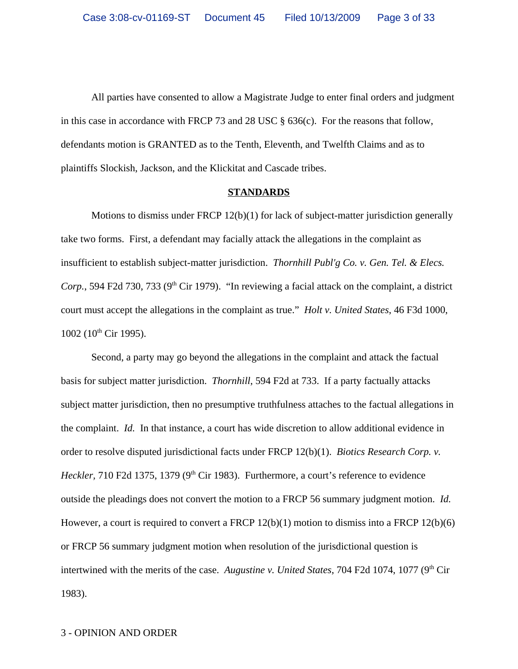All parties have consented to allow a Magistrate Judge to enter final orders and judgment in this case in accordance with FRCP 73 and 28 USC § 636(c). For the reasons that follow, defendants motion is GRANTED as to the Tenth, Eleventh, and Twelfth Claims and as to plaintiffs Slockish, Jackson, and the Klickitat and Cascade tribes.

#### **STANDARDS**

Motions to dismiss under FRCP  $12(b)(1)$  for lack of subject-matter jurisdiction generally take two forms. First, a defendant may facially attack the allegations in the complaint as insufficient to establish subject-matter jurisdiction. *Thornhill Publ'g Co. v. Gen. Tel. & Elecs. Corp.*, 594 F2d 730, 733 ( $9<sup>th</sup>$  Cir 1979). "In reviewing a facial attack on the complaint, a district court must accept the allegations in the complaint as true." *Holt v. United States*, 46 F3d 1000,  $1002$  ( $10^{th}$  Cir 1995).

Second, a party may go beyond the allegations in the complaint and attack the factual basis for subject matter jurisdiction. *Thornhill*, 594 F2d at 733. If a party factually attacks subject matter jurisdiction, then no presumptive truthfulness attaches to the factual allegations in the complaint. *Id.* In that instance, a court has wide discretion to allow additional evidence in order to resolve disputed jurisdictional facts under FRCP 12(b)(1). *Biotics Research Corp. v. Heckler*, 710 F2d 1375, 1379 (9<sup>th</sup> Cir 1983). Furthermore, a court's reference to evidence outside the pleadings does not convert the motion to a FRCP 56 summary judgment motion. *Id.* However, a court is required to convert a FRCP 12(b)(1) motion to dismiss into a FRCP 12(b)(6) or FRCP 56 summary judgment motion when resolution of the jurisdictional question is intertwined with the merits of the case. *Augustine v. United States*, 704 F2d 1074, 1077 (9<sup>th</sup> Cir 1983).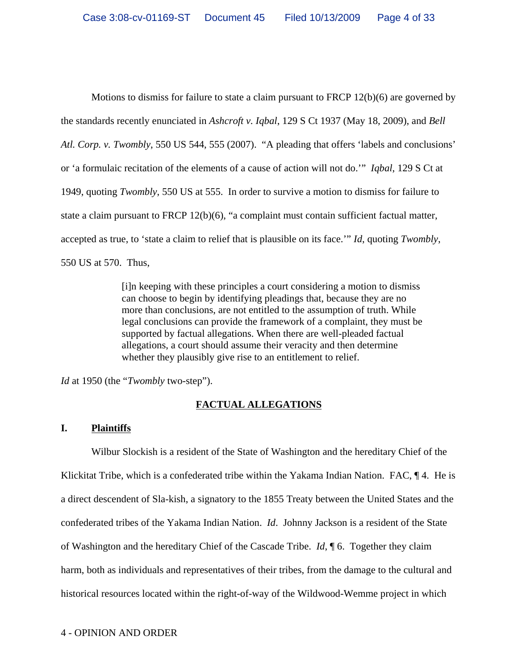Motions to dismiss for failure to state a claim pursuant to FRCP 12(b)(6) are governed by the standards recently enunciated in *Ashcroft v. Iqbal*, 129 S Ct 1937 (May 18, 2009), and *Bell Atl. Corp. v. Twombly*, 550 US 544, 555 (2007). "A pleading that offers 'labels and conclusions' or 'a formulaic recitation of the elements of a cause of action will not do.'" *Iqbal*, 129 S Ct at 1949, quoting *Twombly*, 550 US at 555. In order to survive a motion to dismiss for failure to state a claim pursuant to FRCP 12(b)(6), "a complaint must contain sufficient factual matter, accepted as true, to 'state a claim to relief that is plausible on its face.'" *Id*, quoting *Twombly*, 550 US at 570. Thus,

> [i]n keeping with these principles a court considering a motion to dismiss can choose to begin by identifying pleadings that, because they are no more than conclusions, are not entitled to the assumption of truth. While legal conclusions can provide the framework of a complaint, they must be supported by factual allegations. When there are well-pleaded factual allegations, a court should assume their veracity and then determine whether they plausibly give rise to an entitlement to relief.

*Id* at 1950 (the "*Twombly* two-step").

## **FACTUAL ALLEGATIONS**

## **I. Plaintiffs**

Wilbur Slockish is a resident of the State of Washington and the hereditary Chief of the Klickitat Tribe, which is a confederated tribe within the Yakama Indian Nation. FAC,  $\P$  4. He is a direct descendent of Sla-kish, a signatory to the 1855 Treaty between the United States and the confederated tribes of the Yakama Indian Nation. *Id*. Johnny Jackson is a resident of the State of Washington and the hereditary Chief of the Cascade Tribe. *Id*, ¶ 6. Together they claim harm, both as individuals and representatives of their tribes, from the damage to the cultural and historical resources located within the right-of-way of the Wildwood-Wemme project in which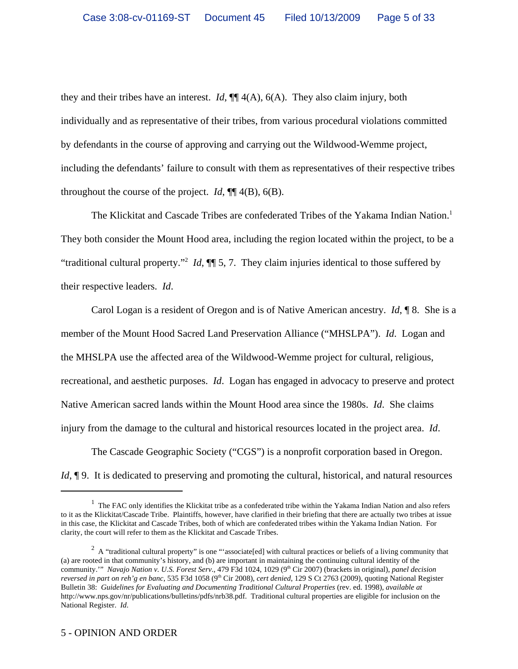they and their tribes have an interest. *Id*, ¶¶ 4(A), 6(A). They also claim injury, both individually and as representative of their tribes, from various procedural violations committed by defendants in the course of approving and carrying out the Wildwood-Wemme project, including the defendants' failure to consult with them as representatives of their respective tribes throughout the course of the project.  $Id$ ,  $\P$  4(B), 6(B).

The Klickitat and Cascade Tribes are confederated Tribes of the Yakama Indian Nation.<sup>1</sup> They both consider the Mount Hood area, including the region located within the project, to be a "traditional cultural property."2 *Id*, ¶¶ 5, 7. They claim injuries identical to those suffered by their respective leaders. *Id*.

Carol Logan is a resident of Oregon and is of Native American ancestry. *Id*, ¶ 8. She is a member of the Mount Hood Sacred Land Preservation Alliance ("MHSLPA"). *Id*. Logan and the MHSLPA use the affected area of the Wildwood-Wemme project for cultural, religious, recreational, and aesthetic purposes. *Id*. Logan has engaged in advocacy to preserve and protect Native American sacred lands within the Mount Hood area since the 1980s. *Id*. She claims injury from the damage to the cultural and historical resources located in the project area. *Id*.

The Cascade Geographic Society ("CGS") is a nonprofit corporation based in Oregon. *Id*,  $\phi$ 9. It is dedicated to preserving and promoting the cultural, historical, and natural resources

 $<sup>1</sup>$  The FAC only identifies the Klickitat tribe as a confederated tribe within the Yakama Indian Nation and also refers</sup> to it as the Klickitat/Cascade Tribe. Plaintiffs, however, have clarified in their briefing that there are actually two tribes at issue in this case, the Klickitat and Cascade Tribes, both of which are confederated tribes within the Yakama Indian Nation. For clarity, the court will refer to them as the Klickitat and Cascade Tribes.

<sup>&</sup>lt;sup>2</sup> A "traditional cultural property" is one "'associate[ed] with cultural practices or beliefs of a living community that (a) are rooted in that community's history, and (b) are important in maintaining the continuing cultural identity of the community." *Navajo Nation v. U.S. Forest Serv.*, 479 F3d 1024, 1029 (9<sup>th</sup> Cir 2007) (brackets in original), *panel decision reversed in part on reh'g en banc*, 535 F3d 1058 (9<sup>th</sup> Cir 2008), *cert denied*, 129 S Ct 2763 (2009), quoting National Register Bulletin 38: *Guidelines for Evaluating and Documenting Traditional Cultural Properties* (rev. ed. 1998), *available at* http://www.nps.gov/nr/publications/bulletins/pdfs/nrb38.pdf. Traditional cultural properties are eligible for inclusion on the National Register. *Id*.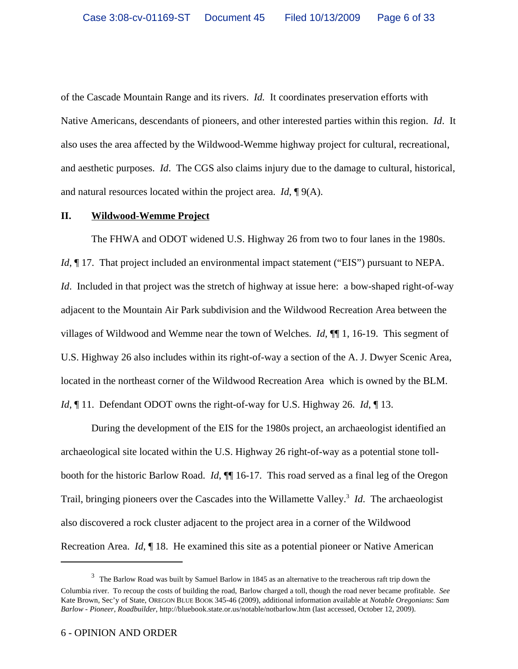of the Cascade Mountain Range and its rivers. *Id.* It coordinates preservation efforts with Native Americans, descendants of pioneers, and other interested parties within this region. *Id*. It also uses the area affected by the Wildwood-Wemme highway project for cultural, recreational, and aesthetic purposes. *Id*. The CGS also claims injury due to the damage to cultural, historical, and natural resources located within the project area. *Id*, ¶ 9(A).

### **II. Wildwood-Wemme Project**

The FHWA and ODOT widened U.S. Highway 26 from two to four lanes in the 1980s. *Id*,  $\P$  17. That project included an environmental impact statement ("EIS") pursuant to NEPA. *Id.* Included in that project was the stretch of highway at issue here: a bow-shaped right-of-way adjacent to the Mountain Air Park subdivision and the Wildwood Recreation Area between the villages of Wildwood and Wemme near the town of Welches. *Id*, ¶¶ 1, 16-19. This segment of U.S. Highway 26 also includes within its right-of-way a section of the A. J. Dwyer Scenic Area, located in the northeast corner of the Wildwood Recreation Area which is owned by the BLM. *Id*, ¶ 11. Defendant ODOT owns the right-of-way for U.S. Highway 26. *Id*, ¶ 13.

During the development of the EIS for the 1980s project, an archaeologist identified an archaeological site located within the U.S. Highway 26 right-of-way as a potential stone tollbooth for the historic Barlow Road. *Id*, ¶¶ 16-17. This road served as a final leg of the Oregon Trail, bringing pioneers over the Cascades into the Willamette Valley.<sup>3</sup> *Id*. The archaeologist also discovered a rock cluster adjacent to the project area in a corner of the Wildwood Recreation Area. *Id*, ¶ 18. He examined this site as a potential pioneer or Native American

 $3$  The Barlow Road was built by Samuel Barlow in 1845 as an alternative to the treacherous raft trip down the

Columbia river. To recoup the costs of building the road, Barlow charged a toll, though the road never became profitable. *See* Kate Brown, Sec'y of State, OREGON BLUE BOOK 345-46 (2009), additional information available at *Notable Oregonians*: *Sam Barlow - Pioneer, Roadbuilder*, http://bluebook.state.or.us/notable/notbarlow.htm (last accessed, October 12, 2009).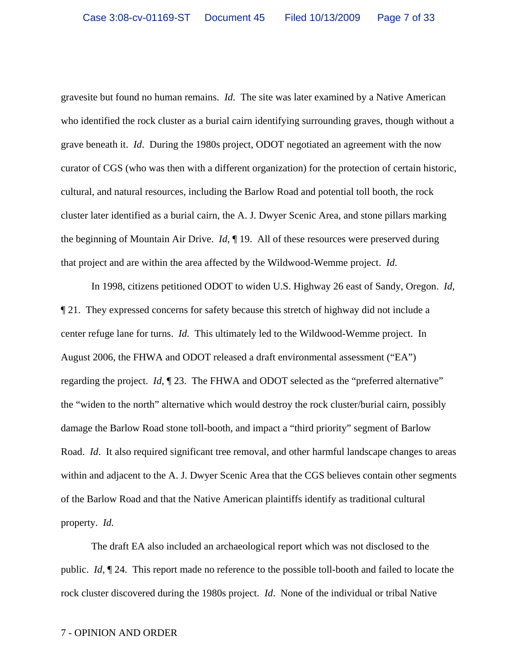gravesite but found no human remains. *Id*. The site was later examined by a Native American who identified the rock cluster as a burial cairn identifying surrounding graves, though without a grave beneath it. *Id*. During the 1980s project, ODOT negotiated an agreement with the now curator of CGS (who was then with a different organization) for the protection of certain historic, cultural, and natural resources, including the Barlow Road and potential toll booth, the rock cluster later identified as a burial cairn, the A. J. Dwyer Scenic Area, and stone pillars marking the beginning of Mountain Air Drive. *Id*, ¶ 19. All of these resources were preserved during that project and are within the area affected by the Wildwood-Wemme project. *Id*.

In 1998, citizens petitioned ODOT to widen U.S. Highway 26 east of Sandy, Oregon. *Id*, ¶ 21. They expressed concerns for safety because this stretch of highway did not include a center refuge lane for turns. *Id.* This ultimately led to the Wildwood-Wemme project. In August 2006, the FHWA and ODOT released a draft environmental assessment ("EA") regarding the project. *Id*, ¶ 23. The FHWA and ODOT selected as the "preferred alternative" the "widen to the north" alternative which would destroy the rock cluster/burial cairn, possibly damage the Barlow Road stone toll-booth, and impact a "third priority" segment of Barlow Road. *Id*. It also required significant tree removal, and other harmful landscape changes to areas within and adjacent to the A. J. Dwyer Scenic Area that the CGS believes contain other segments of the Barlow Road and that the Native American plaintiffs identify as traditional cultural property. *Id.*

The draft EA also included an archaeological report which was not disclosed to the public. *Id*, ¶ 24. This report made no reference to the possible toll-booth and failed to locate the rock cluster discovered during the 1980s project. *Id*. None of the individual or tribal Native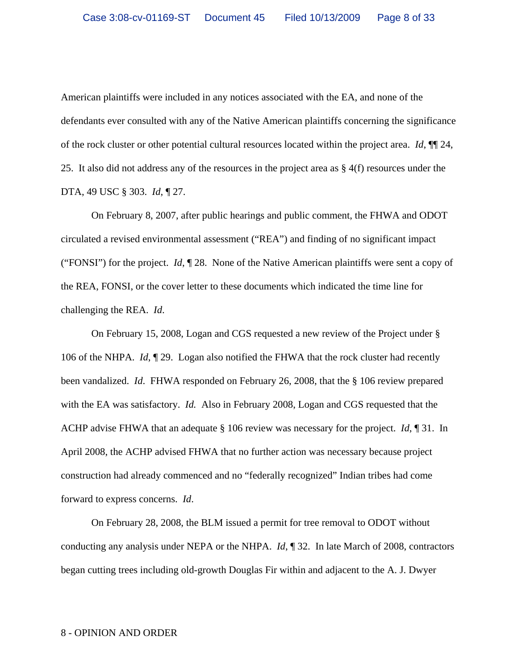American plaintiffs were included in any notices associated with the EA, and none of the defendants ever consulted with any of the Native American plaintiffs concerning the significance of the rock cluster or other potential cultural resources located within the project area. *Id*, ¶¶ 24, 25. It also did not address any of the resources in the project area as § 4(f) resources under the DTA, 49 USC § 303. *Id*, ¶ 27.

On February 8, 2007, after public hearings and public comment, the FHWA and ODOT circulated a revised environmental assessment ("REA") and finding of no significant impact ("FONSI") for the project. *Id*, ¶ 28. None of the Native American plaintiffs were sent a copy of the REA, FONSI, or the cover letter to these documents which indicated the time line for challenging the REA. *Id*.

On February 15, 2008, Logan and CGS requested a new review of the Project under § 106 of the NHPA. *Id*, ¶ 29. Logan also notified the FHWA that the rock cluster had recently been vandalized. *Id*. FHWA responded on February 26, 2008, that the § 106 review prepared with the EA was satisfactory. *Id.* Also in February 2008, Logan and CGS requested that the ACHP advise FHWA that an adequate § 106 review was necessary for the project. *Id*, ¶ 31. In April 2008, the ACHP advised FHWA that no further action was necessary because project construction had already commenced and no "federally recognized" Indian tribes had come forward to express concerns. *Id*.

On February 28, 2008, the BLM issued a permit for tree removal to ODOT without conducting any analysis under NEPA or the NHPA. *Id*, ¶ 32. In late March of 2008, contractors began cutting trees including old-growth Douglas Fir within and adjacent to the A. J. Dwyer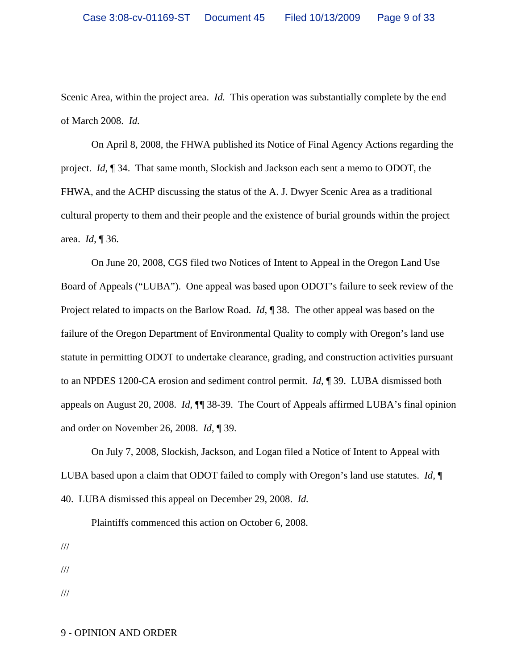Scenic Area, within the project area. *Id.* This operation was substantially complete by the end of March 2008. *Id.*

On April 8, 2008, the FHWA published its Notice of Final Agency Actions regarding the project. *Id*, ¶ 34. That same month, Slockish and Jackson each sent a memo to ODOT, the FHWA, and the ACHP discussing the status of the A. J. Dwyer Scenic Area as a traditional cultural property to them and their people and the existence of burial grounds within the project area. *Id*, ¶ 36.

On June 20, 2008, CGS filed two Notices of Intent to Appeal in the Oregon Land Use Board of Appeals ("LUBA"). One appeal was based upon ODOT's failure to seek review of the Project related to impacts on the Barlow Road. *Id*, ¶ 38. The other appeal was based on the failure of the Oregon Department of Environmental Quality to comply with Oregon's land use statute in permitting ODOT to undertake clearance, grading, and construction activities pursuant to an NPDES 1200-CA erosion and sediment control permit. *Id*, ¶ 39. LUBA dismissed both appeals on August 20, 2008. *Id*, ¶¶ 38-39. The Court of Appeals affirmed LUBA's final opinion and order on November 26, 2008. *Id*, ¶ 39.

On July 7, 2008, Slockish, Jackson, and Logan filed a Notice of Intent to Appeal with LUBA based upon a claim that ODOT failed to comply with Oregon's land use statutes. *Id*, ¶ 40. LUBA dismissed this appeal on December 29, 2008. *Id.* 

Plaintiffs commenced this action on October 6, 2008.

///

///

///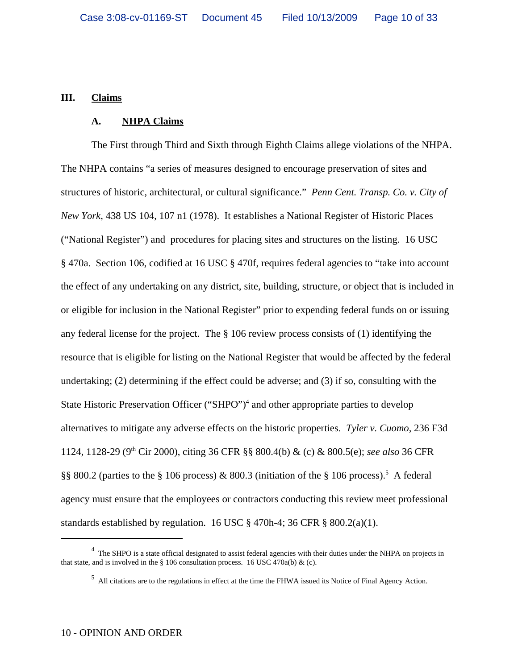## **III. Claims**

#### **A. NHPA Claims**

The First through Third and Sixth through Eighth Claims allege violations of the NHPA. The NHPA contains "a series of measures designed to encourage preservation of sites and structures of historic, architectural, or cultural significance." *Penn Cent. Transp. Co. v. City of New York*, 438 US 104, 107 n1 (1978). It establishes a National Register of Historic Places ("National Register") and procedures for placing sites and structures on the listing. 16 USC § 470a. Section 106, codified at 16 USC § 470f, requires federal agencies to "take into account the effect of any undertaking on any district, site, building, structure, or object that is included in or eligible for inclusion in the National Register" prior to expending federal funds on or issuing any federal license for the project. The § 106 review process consists of (1) identifying the resource that is eligible for listing on the National Register that would be affected by the federal undertaking; (2) determining if the effect could be adverse; and (3) if so, consulting with the State Historic Preservation Officer ("SHPO")<sup>4</sup> and other appropriate parties to develop alternatives to mitigate any adverse effects on the historic properties. *Tyler v. Cuomo*, 236 F3d 1124, 1128-29 (9th Cir 2000), citing 36 CFR §§ 800.4(b) & (c) & 800.5(e); *see also* 36 CFR §§ 800.2 (parties to the § 106 process) & 800.3 (initiation of the § 106 process).<sup>5</sup> A federal agency must ensure that the employees or contractors conducting this review meet professional standards established by regulation. 16 USC  $\S$  470h-4; 36 CFR  $\S$  800.2(a)(1).

<sup>&</sup>lt;sup>4</sup> The SHPO is a state official designated to assist federal agencies with their duties under the NHPA on projects in that state, and is involved in the § 106 consultation process. 16 USC 470a(b) & (c).

 $<sup>5</sup>$  All citations are to the regulations in effect at the time the FHWA issued its Notice of Final Agency Action.</sup>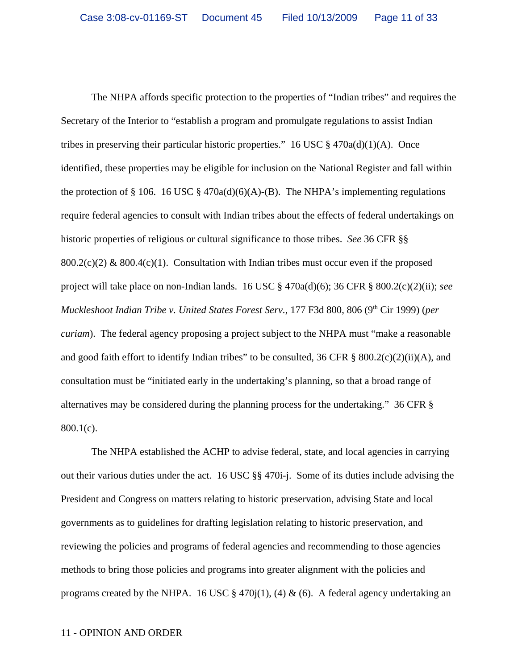The NHPA affords specific protection to the properties of "Indian tribes" and requires the Secretary of the Interior to "establish a program and promulgate regulations to assist Indian tribes in preserving their particular historic properties." 16 USC  $\S$  470a(d)(1)(A). Once identified, these properties may be eligible for inclusion on the National Register and fall within the protection of § 106. 16 USC § 470a(d)(6)(A)-(B). The NHPA's implementing regulations require federal agencies to consult with Indian tribes about the effects of federal undertakings on historic properties of religious or cultural significance to those tribes. *See* 36 CFR §§  $800.2(c)(2) \& 800.4(c)(1)$ . Consultation with Indian tribes must occur even if the proposed project will take place on non-Indian lands. 16 USC § 470a(d)(6); 36 CFR § 800.2(c)(2)(ii); *see Muckleshoot Indian Tribe v. United States Forest Serv., 177 F3d 800, 806 (9<sup>th</sup> Cir 1999) (<i>per curiam*). The federal agency proposing a project subject to the NHPA must "make a reasonable and good faith effort to identify Indian tribes" to be consulted, 36 CFR  $\S$  800.2(c)(2)(ii)(A), and consultation must be "initiated early in the undertaking's planning, so that a broad range of alternatives may be considered during the planning process for the undertaking." 36 CFR § 800.1(c).

The NHPA established the ACHP to advise federal, state, and local agencies in carrying out their various duties under the act. 16 USC §§ 470i-j. Some of its duties include advising the President and Congress on matters relating to historic preservation, advising State and local governments as to guidelines for drafting legislation relating to historic preservation, and reviewing the policies and programs of federal agencies and recommending to those agencies methods to bring those policies and programs into greater alignment with the policies and programs created by the NHPA. 16 USC § 470 $j(1)$ , (4) & (6). A federal agency undertaking an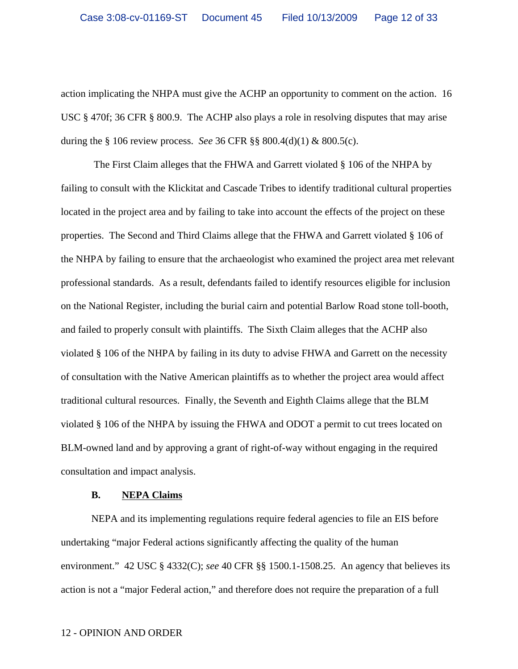action implicating the NHPA must give the ACHP an opportunity to comment on the action. 16 USC § 470f; 36 CFR § 800.9. The ACHP also plays a role in resolving disputes that may arise during the § 106 review process. *See* 36 CFR §§ 800.4(d)(1) & 800.5(c).

 The First Claim alleges that the FHWA and Garrett violated § 106 of the NHPA by failing to consult with the Klickitat and Cascade Tribes to identify traditional cultural properties located in the project area and by failing to take into account the effects of the project on these properties. The Second and Third Claims allege that the FHWA and Garrett violated § 106 of the NHPA by failing to ensure that the archaeologist who examined the project area met relevant professional standards. As a result, defendants failed to identify resources eligible for inclusion on the National Register, including the burial cairn and potential Barlow Road stone toll-booth, and failed to properly consult with plaintiffs. The Sixth Claim alleges that the ACHP also violated § 106 of the NHPA by failing in its duty to advise FHWA and Garrett on the necessity of consultation with the Native American plaintiffs as to whether the project area would affect traditional cultural resources. Finally, the Seventh and Eighth Claims allege that the BLM violated § 106 of the NHPA by issuing the FHWA and ODOT a permit to cut trees located on BLM-owned land and by approving a grant of right-of-way without engaging in the required consultation and impact analysis.

#### **B. NEPA Claims**

NEPA and its implementing regulations require federal agencies to file an EIS before undertaking "major Federal actions significantly affecting the quality of the human environment." 42 USC § 4332(C); *see* 40 CFR §§ 1500.1-1508.25. An agency that believes its action is not a "major Federal action," and therefore does not require the preparation of a full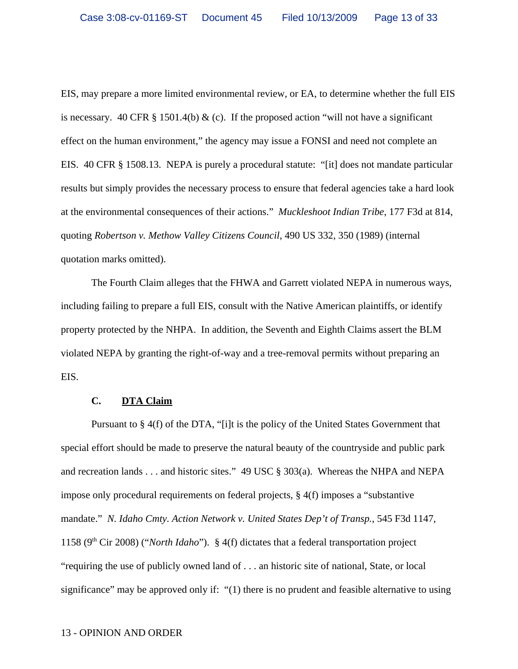EIS, may prepare a more limited environmental review, or EA, to determine whether the full EIS is necessary. 40 CFR  $\S$  1501.4(b) & (c). If the proposed action "will not have a significant effect on the human environment," the agency may issue a FONSI and need not complete an EIS. 40 CFR § 1508.13. NEPA is purely a procedural statute: "[it] does not mandate particular results but simply provides the necessary process to ensure that federal agencies take a hard look at the environmental consequences of their actions." *Muckleshoot Indian Tribe*, 177 F3d at 814, quoting *Robertson v. Methow Valley Citizens Council*, 490 US 332, 350 (1989) (internal quotation marks omitted).

The Fourth Claim alleges that the FHWA and Garrett violated NEPA in numerous ways, including failing to prepare a full EIS, consult with the Native American plaintiffs, or identify property protected by the NHPA. In addition, the Seventh and Eighth Claims assert the BLM violated NEPA by granting the right-of-way and a tree-removal permits without preparing an EIS.

## **C. DTA Claim**

Pursuant to § 4(f) of the DTA, "[i]t is the policy of the United States Government that special effort should be made to preserve the natural beauty of the countryside and public park and recreation lands . . . and historic sites." 49 USC § 303(a). Whereas the NHPA and NEPA impose only procedural requirements on federal projects, § 4(f) imposes a "substantive mandate." *N. Idaho Cmty. Action Network v. United States Dep't of Transp.*, 545 F3d 1147, 1158 ( $9<sup>th</sup>$  Cir 2008) ("*North Idaho*"). § 4(f) dictates that a federal transportation project "requiring the use of publicly owned land of . . . an historic site of national, State, or local significance" may be approved only if: "(1) there is no prudent and feasible alternative to using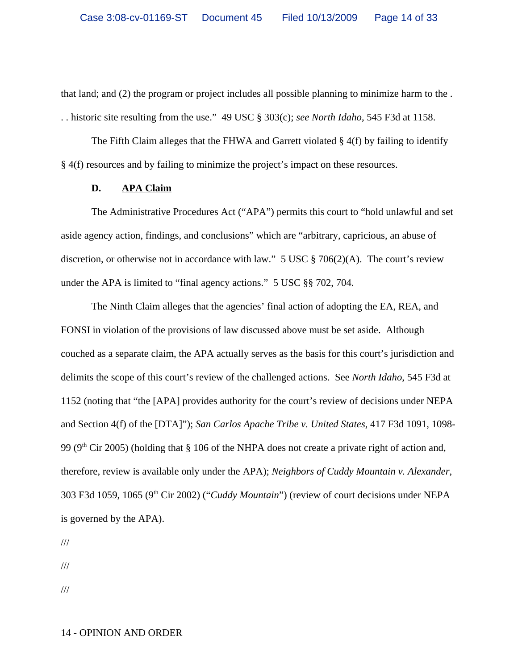that land; and (2) the program or project includes all possible planning to minimize harm to the . . . historic site resulting from the use." 49 USC § 303(c); *see North Idaho*, 545 F3d at 1158.

The Fifth Claim alleges that the FHWA and Garrett violated  $\S$  4(f) by failing to identify § 4(f) resources and by failing to minimize the project's impact on these resources.

### **D. APA Claim**

The Administrative Procedures Act ("APA") permits this court to "hold unlawful and set aside agency action, findings, and conclusions" which are "arbitrary, capricious, an abuse of discretion, or otherwise not in accordance with law." 5 USC  $\S 706(2)(A)$ . The court's review under the APA is limited to "final agency actions." 5 USC §§ 702, 704.

The Ninth Claim alleges that the agencies' final action of adopting the EA, REA, and FONSI in violation of the provisions of law discussed above must be set aside. Although couched as a separate claim, the APA actually serves as the basis for this court's jurisdiction and delimits the scope of this court's review of the challenged actions. See *North Idaho*, 545 F3d at 1152 (noting that "the [APA] provides authority for the court's review of decisions under NEPA and Section 4(f) of the [DTA]"); *San Carlos Apache Tribe v. United States*, 417 F3d 1091, 1098- 99 ( $9<sup>th</sup>$  Cir 2005) (holding that § 106 of the NHPA does not create a private right of action and, therefore, review is available only under the APA); *Neighbors of Cuddy Mountain v. Alexander*, 303 F3d 1059, 1065 (9th Cir 2002) ("*Cuddy Mountain*") (review of court decisions under NEPA is governed by the APA).

///

///

///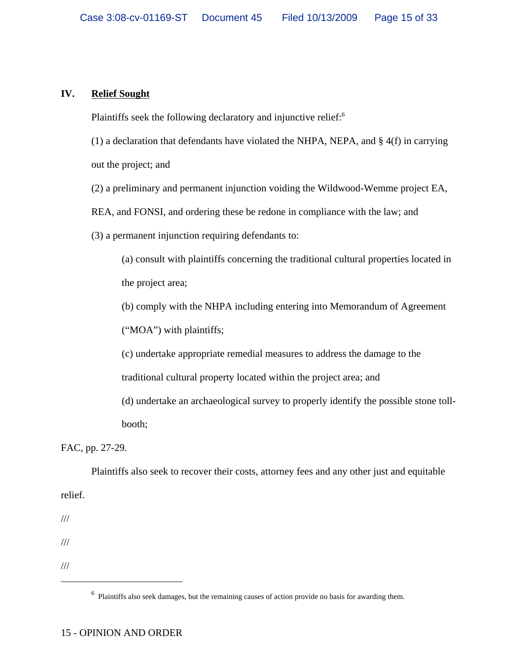# **IV. Relief Sought**

Plaintiffs seek the following declaratory and injunctive relief:<sup>6</sup>

(1) a declaration that defendants have violated the NHPA, NEPA, and § 4(f) in carrying out the project; and

(2) a preliminary and permanent injunction voiding the Wildwood-Wemme project EA,

REA, and FONSI, and ordering these be redone in compliance with the law; and

(3) a permanent injunction requiring defendants to:

(a) consult with plaintiffs concerning the traditional cultural properties located in the project area;

(b) comply with the NHPA including entering into Memorandum of Agreement

("MOA") with plaintiffs;

(c) undertake appropriate remedial measures to address the damage to the traditional cultural property located within the project area; and

(d) undertake an archaeological survey to properly identify the possible stone tollbooth;

FAC, pp. 27-29.

Plaintiffs also seek to recover their costs, attorney fees and any other just and equitable relief.

///

///

///

 $<sup>6</sup>$  Plaintiffs also seek damages, but the remaining causes of action provide no basis for awarding them.</sup>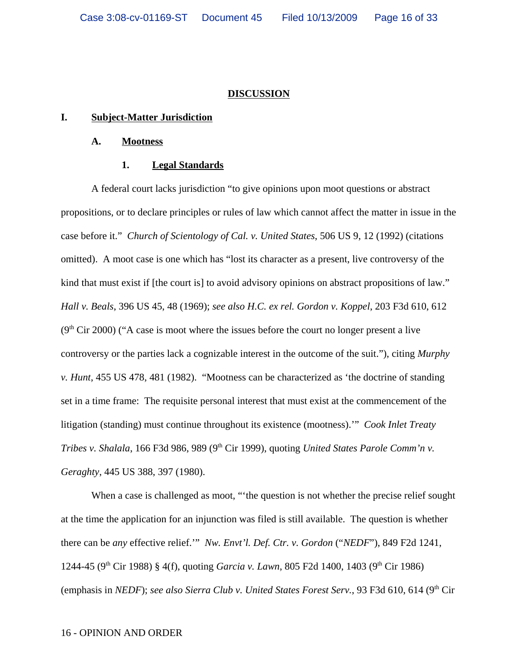## **DISCUSSION**

## **I. Subject-Matter Jurisdiction**

### **A. Mootness**

#### **1. Legal Standards**

A federal court lacks jurisdiction "to give opinions upon moot questions or abstract propositions, or to declare principles or rules of law which cannot affect the matter in issue in the case before it." *Church of Scientology of Cal. v. United States*, 506 US 9, 12 (1992) (citations omitted). A moot case is one which has "lost its character as a present, live controversy of the kind that must exist if [the court is] to avoid advisory opinions on abstract propositions of law." *Hall v. Beals*, 396 US 45, 48 (1969); *see also H.C. ex rel. Gordon v. Koppel*, 203 F3d 610, 612  $(9<sup>th</sup> Cir 2000)$  ("A case is moot where the issues before the court no longer present a live controversy or the parties lack a cognizable interest in the outcome of the suit."), citing *Murphy v. Hunt*, 455 US 478, 481 (1982). "Mootness can be characterized as 'the doctrine of standing set in a time frame: The requisite personal interest that must exist at the commencement of the litigation (standing) must continue throughout its existence (mootness).'" *Cook Inlet Treaty Tribes v. Shalala, 166 F3d 986, 989 (9<sup>th</sup> Cir 1999), quoting <i>United States Parole Comm'n v. Geraghty*, 445 US 388, 397 (1980).

When a case is challenged as moot, "the question is not whether the precise relief sought at the time the application for an injunction was filed is still available. The question is whether there can be *any* effective relief.'" *Nw. Envt'l. Def. Ctr. v. Gordon* ("*NEDF*"), 849 F2d 1241, 1244-45 (9<sup>th</sup> Cir 1988) § 4(f), quoting *Garcia v. Lawn*, 805 F2d 1400, 1403 (9<sup>th</sup> Cir 1986) (emphasis in *NEDF*); *see also Sierra Club v. United States Forest Serv.*, 93 F3d 610, 614 (9th Cir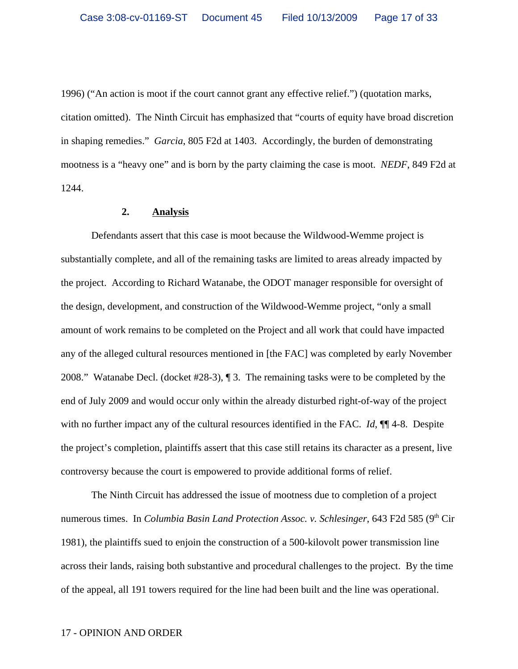1996) ("An action is moot if the court cannot grant any effective relief.") (quotation marks, citation omitted). The Ninth Circuit has emphasized that "courts of equity have broad discretion in shaping remedies." *Garcia*, 805 F2d at 1403. Accordingly, the burden of demonstrating mootness is a "heavy one" and is born by the party claiming the case is moot. *NEDF*, 849 F2d at 1244.

#### **2. Analysis**

Defendants assert that this case is moot because the Wildwood-Wemme project is substantially complete, and all of the remaining tasks are limited to areas already impacted by the project. According to Richard Watanabe, the ODOT manager responsible for oversight of the design, development, and construction of the Wildwood-Wemme project, "only a small amount of work remains to be completed on the Project and all work that could have impacted any of the alleged cultural resources mentioned in [the FAC] was completed by early November 2008." Watanabe Decl. (docket #28-3), ¶ 3. The remaining tasks were to be completed by the end of July 2009 and would occur only within the already disturbed right-of-way of the project with no further impact any of the cultural resources identified in the FAC. *Id*,  $\P$  4-8. Despite the project's completion, plaintiffs assert that this case still retains its character as a present, live controversy because the court is empowered to provide additional forms of relief.

The Ninth Circuit has addressed the issue of mootness due to completion of a project numerous times. In *Columbia Basin Land Protection Assoc. v. Schlesinger*, 643 F2d 585 (9<sup>th</sup> Cir 1981), the plaintiffs sued to enjoin the construction of a 500-kilovolt power transmission line across their lands, raising both substantive and procedural challenges to the project. By the time of the appeal, all 191 towers required for the line had been built and the line was operational.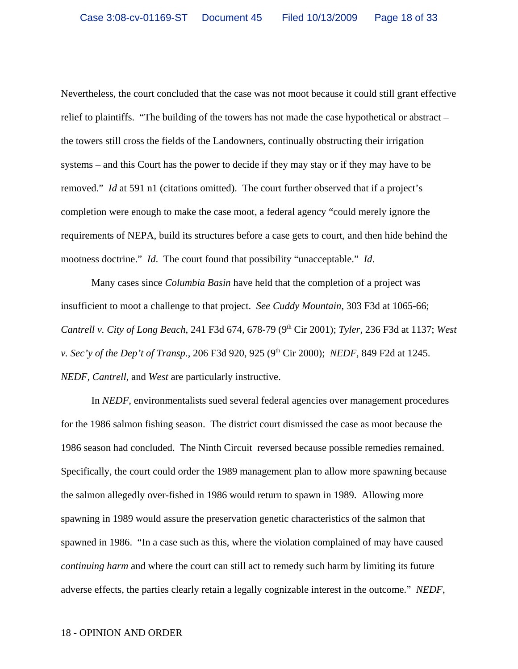Nevertheless, the court concluded that the case was not moot because it could still grant effective relief to plaintiffs. "The building of the towers has not made the case hypothetical or abstract – the towers still cross the fields of the Landowners, continually obstructing their irrigation systems – and this Court has the power to decide if they may stay or if they may have to be removed." *Id* at 591 n1 (citations omitted). The court further observed that if a project's completion were enough to make the case moot, a federal agency "could merely ignore the requirements of NEPA, build its structures before a case gets to court, and then hide behind the mootness doctrine." *Id*. The court found that possibility "unacceptable." *Id*.

Many cases since *Columbia Basin* have held that the completion of a project was insufficient to moot a challenge to that project. *See Cuddy Mountain*, 303 F3d at 1065-66; *Cantrell v. City of Long Beach*, 241 F3d 674, 678-79 (9th Cir 2001); *Tyler*, 236 F3d at 1137; *West v. Sec'y of the Dep't of Transp.*, 206 F3d 920, 925 (9<sup>th</sup> Cir 2000); *NEDF*, 849 F2d at 1245. *NEDF, Cantrell*, and *West* are particularly instructive.

In *NEDF*, environmentalists sued several federal agencies over management procedures for the 1986 salmon fishing season. The district court dismissed the case as moot because the 1986 season had concluded. The Ninth Circuit reversed because possible remedies remained. Specifically, the court could order the 1989 management plan to allow more spawning because the salmon allegedly over-fished in 1986 would return to spawn in 1989. Allowing more spawning in 1989 would assure the preservation genetic characteristics of the salmon that spawned in 1986. "In a case such as this, where the violation complained of may have caused *continuing harm* and where the court can still act to remedy such harm by limiting its future adverse effects, the parties clearly retain a legally cognizable interest in the outcome." *NEDF*,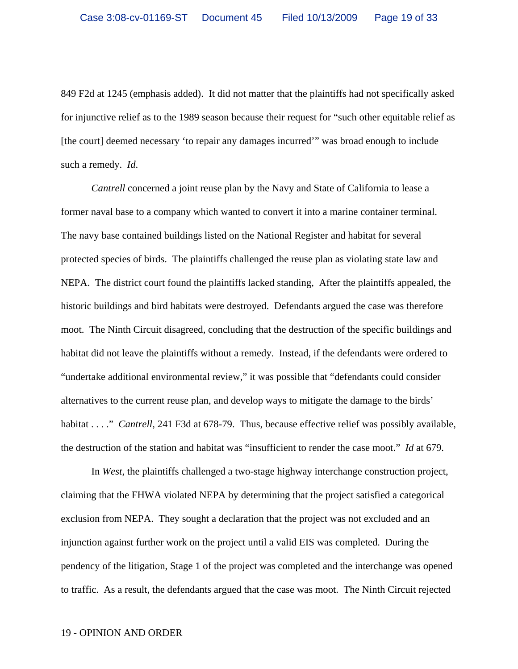849 F2d at 1245 (emphasis added). It did not matter that the plaintiffs had not specifically asked for injunctive relief as to the 1989 season because their request for "such other equitable relief as [the court] deemed necessary 'to repair any damages incurred'" was broad enough to include such a remedy. *Id*.

*Cantrell* concerned a joint reuse plan by the Navy and State of California to lease a former naval base to a company which wanted to convert it into a marine container terminal. The navy base contained buildings listed on the National Register and habitat for several protected species of birds. The plaintiffs challenged the reuse plan as violating state law and NEPA. The district court found the plaintiffs lacked standing, After the plaintiffs appealed, the historic buildings and bird habitats were destroyed. Defendants argued the case was therefore moot. The Ninth Circuit disagreed, concluding that the destruction of the specific buildings and habitat did not leave the plaintiffs without a remedy. Instead, if the defendants were ordered to "undertake additional environmental review," it was possible that "defendants could consider alternatives to the current reuse plan, and develop ways to mitigate the damage to the birds' habitat . . . " *Cantrell*, 241 F3d at 678-79. Thus, because effective relief was possibly available, the destruction of the station and habitat was "insufficient to render the case moot." *Id* at 679.

In *West*, the plaintiffs challenged a two-stage highway interchange construction project, claiming that the FHWA violated NEPA by determining that the project satisfied a categorical exclusion from NEPA. They sought a declaration that the project was not excluded and an injunction against further work on the project until a valid EIS was completed. During the pendency of the litigation, Stage 1 of the project was completed and the interchange was opened to traffic. As a result, the defendants argued that the case was moot. The Ninth Circuit rejected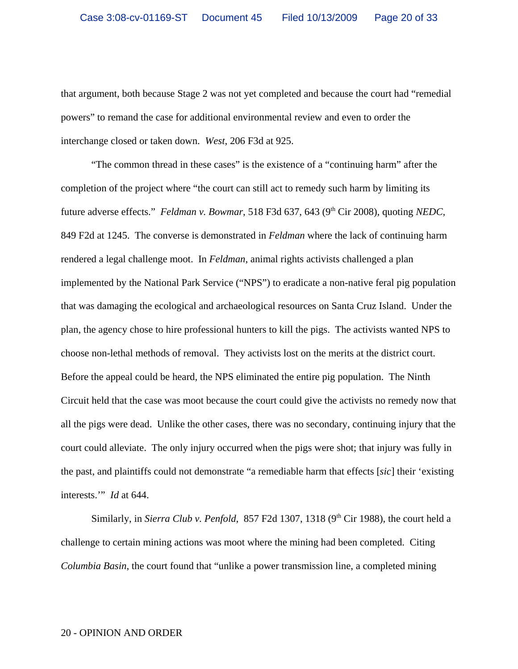that argument, both because Stage 2 was not yet completed and because the court had "remedial powers" to remand the case for additional environmental review and even to order the interchange closed or taken down. *West*, 206 F3d at 925.

"The common thread in these cases" is the existence of a "continuing harm" after the completion of the project where "the court can still act to remedy such harm by limiting its future adverse effects." *Feldman v. Bowmar*, 518 F3d 637, 643 (9<sup>th</sup> Cir 2008), quoting *NEDC*, 849 F2d at 1245. The converse is demonstrated in *Feldman* where the lack of continuing harm rendered a legal challenge moot. In *Feldman*, animal rights activists challenged a plan implemented by the National Park Service ("NPS") to eradicate a non-native feral pig population that was damaging the ecological and archaeological resources on Santa Cruz Island. Under the plan, the agency chose to hire professional hunters to kill the pigs. The activists wanted NPS to choose non-lethal methods of removal. They activists lost on the merits at the district court. Before the appeal could be heard, the NPS eliminated the entire pig population. The Ninth Circuit held that the case was moot because the court could give the activists no remedy now that all the pigs were dead. Unlike the other cases, there was no secondary, continuing injury that the court could alleviate. The only injury occurred when the pigs were shot; that injury was fully in the past, and plaintiffs could not demonstrate "a remediable harm that effects [*sic*] their 'existing interests.'" *Id* at 644.

Similarly, in *Sierra Club v. Penfold*, 857 F2d 1307, 1318 ( $9<sup>th</sup>$  Cir 1988), the court held a challenge to certain mining actions was moot where the mining had been completed. Citing *Columbia Basin*, the court found that "unlike a power transmission line, a completed mining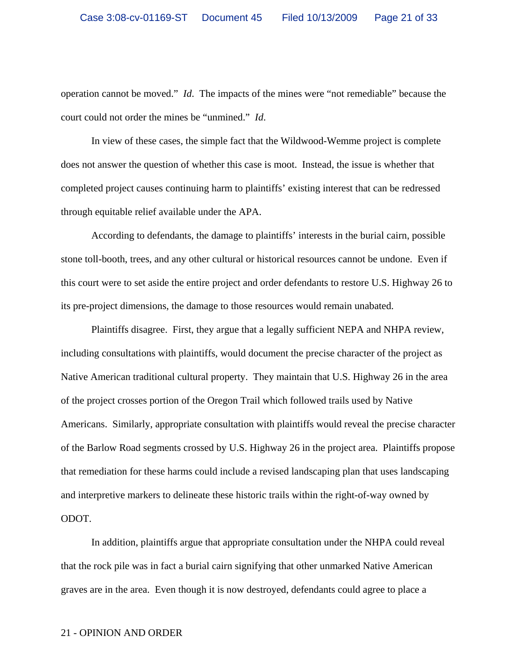operation cannot be moved." *Id*. The impacts of the mines were "not remediable" because the court could not order the mines be "unmined." *Id*.

In view of these cases, the simple fact that the Wildwood-Wemme project is complete does not answer the question of whether this case is moot. Instead, the issue is whether that completed project causes continuing harm to plaintiffs' existing interest that can be redressed through equitable relief available under the APA.

According to defendants, the damage to plaintiffs' interests in the burial cairn, possible stone toll-booth, trees, and any other cultural or historical resources cannot be undone. Even if this court were to set aside the entire project and order defendants to restore U.S. Highway 26 to its pre-project dimensions, the damage to those resources would remain unabated.

Plaintiffs disagree. First, they argue that a legally sufficient NEPA and NHPA review, including consultations with plaintiffs, would document the precise character of the project as Native American traditional cultural property. They maintain that U.S. Highway 26 in the area of the project crosses portion of the Oregon Trail which followed trails used by Native Americans. Similarly, appropriate consultation with plaintiffs would reveal the precise character of the Barlow Road segments crossed by U.S. Highway 26 in the project area. Plaintiffs propose that remediation for these harms could include a revised landscaping plan that uses landscaping and interpretive markers to delineate these historic trails within the right-of-way owned by ODOT.

In addition, plaintiffs argue that appropriate consultation under the NHPA could reveal that the rock pile was in fact a burial cairn signifying that other unmarked Native American graves are in the area. Even though it is now destroyed, defendants could agree to place a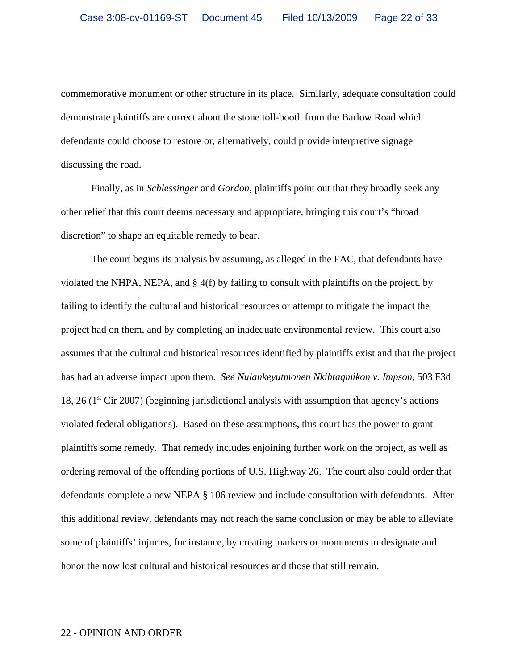commemorative monument or other structure in its place. Similarly, adequate consultation could demonstrate plaintiffs are correct about the stone toll-booth from the Barlow Road which defendants could choose to restore or, alternatively, could provide interpretive signage discussing the road.

Finally, as in *Schlessinger* and *Gordon*, plaintiffs point out that they broadly seek any other relief that this court deems necessary and appropriate, bringing this court's "broad discretion" to shape an equitable remedy to bear.

The court begins its analysis by assuming, as alleged in the FAC, that defendants have violated the NHPA, NEPA, and § 4(f) by failing to consult with plaintiffs on the project, by failing to identify the cultural and historical resources or attempt to mitigate the impact the project had on them, and by completing an inadequate environmental review. This court also assumes that the cultural and historical resources identified by plaintiffs exist and that the project has had an adverse impact upon them. *See Nulankeyutmonen Nkihtaqmikon v. Impson*, 503 F3d 18, 26 ( $1<sup>st</sup>$  Cir 2007) (beginning jurisdictional analysis with assumption that agency's actions violated federal obligations). Based on these assumptions, this court has the power to grant plaintiffs some remedy. That remedy includes enjoining further work on the project, as well as ordering removal of the offending portions of U.S. Highway 26. The court also could order that defendants complete a new NEPA § 106 review and include consultation with defendants. After this additional review, defendants may not reach the same conclusion or may be able to alleviate some of plaintiffs' injuries, for instance, by creating markers or monuments to designate and honor the now lost cultural and historical resources and those that still remain.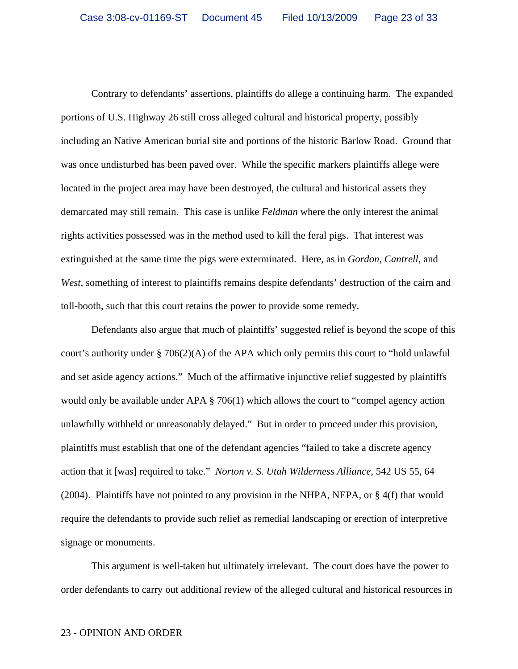Contrary to defendants' assertions, plaintiffs do allege a continuing harm. The expanded portions of U.S. Highway 26 still cross alleged cultural and historical property, possibly including an Native American burial site and portions of the historic Barlow Road. Ground that was once undisturbed has been paved over. While the specific markers plaintiffs allege were located in the project area may have been destroyed, the cultural and historical assets they demarcated may still remain. This case is unlike *Feldman* where the only interest the animal rights activities possessed was in the method used to kill the feral pigs. That interest was extinguished at the same time the pigs were exterminated. Here, as in *Gordon, Cantrell*, and *West*, something of interest to plaintiffs remains despite defendants' destruction of the cairn and toll-booth, such that this court retains the power to provide some remedy.

Defendants also argue that much of plaintiffs' suggested relief is beyond the scope of this court's authority under § 706(2)(A) of the APA which only permits this court to "hold unlawful and set aside agency actions." Much of the affirmative injunctive relief suggested by plaintiffs would only be available under APA § 706(1) which allows the court to "compel agency action unlawfully withheld or unreasonably delayed." But in order to proceed under this provision, plaintiffs must establish that one of the defendant agencies "failed to take a discrete agency action that it [was] required to take." *Norton v. S. Utah Wilderness Alliance*, 542 US 55, 64 (2004). Plaintiffs have not pointed to any provision in the NHPA, NEPA, or § 4(f) that would require the defendants to provide such relief as remedial landscaping or erection of interpretive signage or monuments.

This argument is well-taken but ultimately irrelevant. The court does have the power to order defendants to carry out additional review of the alleged cultural and historical resources in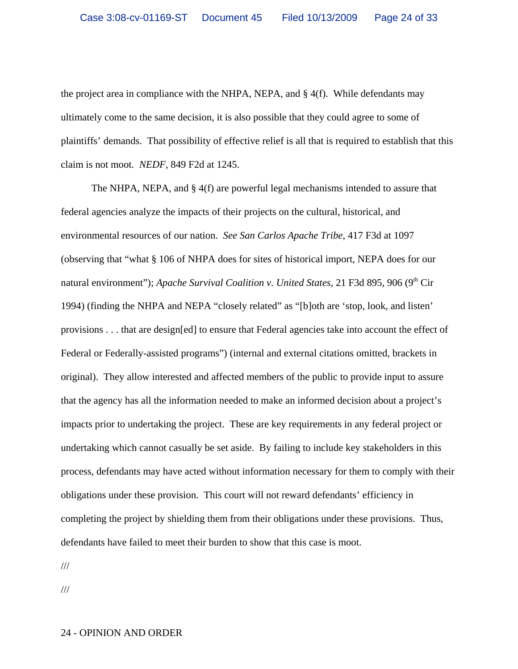the project area in compliance with the NHPA, NEPA, and  $\S$  4(f). While defendants may ultimately come to the same decision, it is also possible that they could agree to some of plaintiffs' demands. That possibility of effective relief is all that is required to establish that this claim is not moot. *NEDF*, 849 F2d at 1245.

The NHPA, NEPA, and § 4(f) are powerful legal mechanisms intended to assure that federal agencies analyze the impacts of their projects on the cultural, historical, and environmental resources of our nation. *See San Carlos Apache Tribe*, 417 F3d at 1097 (observing that "what § 106 of NHPA does for sites of historical import, NEPA does for our natural environment"); *Apache Survival Coalition v. United States*, 21 F3d 895, 906 (9<sup>th</sup> Cir 1994) (finding the NHPA and NEPA "closely related" as "[b]oth are 'stop, look, and listen' provisions . . . that are design[ed] to ensure that Federal agencies take into account the effect of Federal or Federally-assisted programs") (internal and external citations omitted, brackets in original). They allow interested and affected members of the public to provide input to assure that the agency has all the information needed to make an informed decision about a project's impacts prior to undertaking the project. These are key requirements in any federal project or undertaking which cannot casually be set aside. By failing to include key stakeholders in this process, defendants may have acted without information necessary for them to comply with their obligations under these provision. This court will not reward defendants' efficiency in completing the project by shielding them from their obligations under these provisions. Thus, defendants have failed to meet their burden to show that this case is moot.

///

///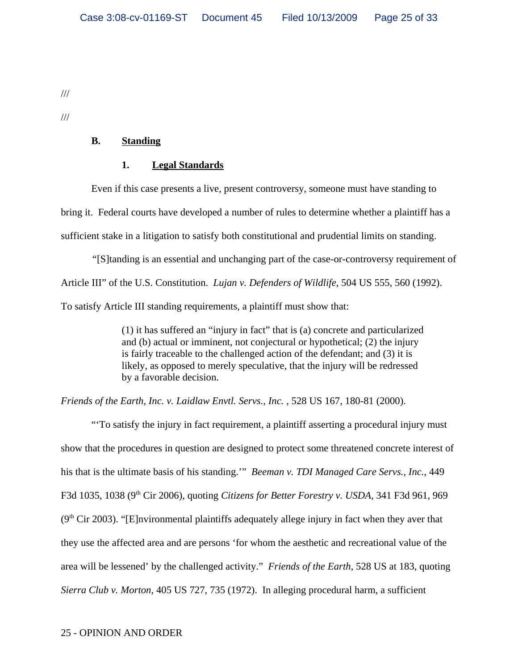///

///

# **B. Standing**

# **1. Legal Standards**

Even if this case presents a live, present controversy, someone must have standing to bring it. Federal courts have developed a number of rules to determine whether a plaintiff has a sufficient stake in a litigation to satisfy both constitutional and prudential limits on standing.

*"*[S]tanding is an essential and unchanging part of the case-or-controversy requirement of Article III" of the U.S. Constitution. *Lujan v. Defenders of Wildlife*, 504 US 555, 560 (1992). To satisfy Article III standing requirements, a plaintiff must show that:

> (1) it has suffered an "injury in fact" that is (a) concrete and particularized and (b) actual or imminent, not conjectural or hypothetical; (2) the injury is fairly traceable to the challenged action of the defendant; and (3) it is likely, as opposed to merely speculative, that the injury will be redressed by a favorable decision.

*Friends of the Earth, Inc. v. Laidlaw Envtl. Servs., Inc.* , 528 US 167, 180-81 (2000).

"'To satisfy the injury in fact requirement, a plaintiff asserting a procedural injury must show that the procedures in question are designed to protect some threatened concrete interest of his that is the ultimate basis of his standing.'" *Beeman v. TDI Managed Care Servs., Inc.*, 449 F3d 1035, 1038 (9th Cir 2006), quoting *Citizens for Better Forestry v. USDA*, 341 F3d 961, 969  $(9<sup>th</sup> Cir 2003)$ . "[E]nvironmental plaintiffs adequately allege injury in fact when they aver that they use the affected area and are persons 'for whom the aesthetic and recreational value of the area will be lessened' by the challenged activity." *Friends of the Earth*, 528 US at 183, quoting *Sierra Club v. Morton*, 405 US 727, 735 (1972). In alleging procedural harm, a sufficient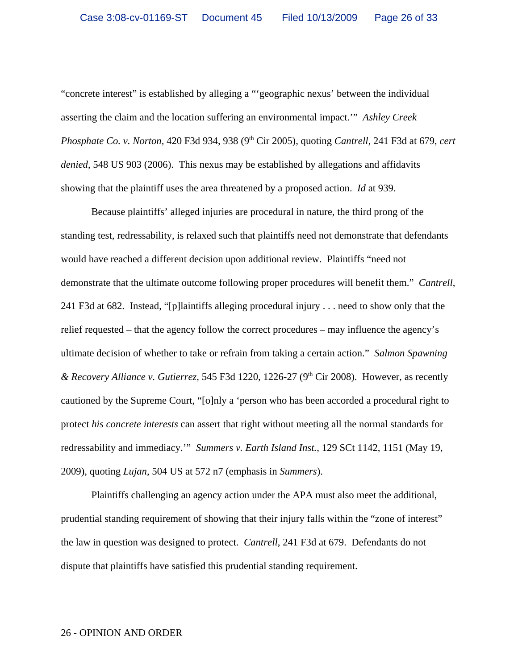"concrete interest" is established by alleging a "'geographic nexus' between the individual asserting the claim and the location suffering an environmental impact.'" *Ashley Creek Phosphate Co. v. Norton,* 420 F3d 934, 938 (9th Cir 2005), quoting *Cantrell*, 241 F3d at 679, *cert denied*, 548 US 903 (2006). This nexus may be established by allegations and affidavits showing that the plaintiff uses the area threatened by a proposed action. *Id* at 939.

Because plaintiffs' alleged injuries are procedural in nature, the third prong of the standing test, redressability, is relaxed such that plaintiffs need not demonstrate that defendants would have reached a different decision upon additional review. Plaintiffs "need not demonstrate that the ultimate outcome following proper procedures will benefit them." *Cantrell*, 241 F3d at 682. Instead, "[p]laintiffs alleging procedural injury . . . need to show only that the relief requested – that the agency follow the correct procedures – may influence the agency's ultimate decision of whether to take or refrain from taking a certain action." *Salmon Spawning & Recovery Alliance v. Gutierrez*, 545 F3d 1220, 1226-27 (9th Cir 2008). However, as recently cautioned by the Supreme Court, "[o]nly a 'person who has been accorded a procedural right to protect *his concrete interests* can assert that right without meeting all the normal standards for redressability and immediacy.'" *Summers v. Earth Island Inst.*, 129 SCt 1142, 1151 (May 19, 2009), quoting *Lujan*, 504 US at 572 n7 (emphasis in *Summers*).

Plaintiffs challenging an agency action under the APA must also meet the additional, prudential standing requirement of showing that their injury falls within the "zone of interest" the law in question was designed to protect. *Cantrell*, 241 F3d at 679. Defendants do not dispute that plaintiffs have satisfied this prudential standing requirement.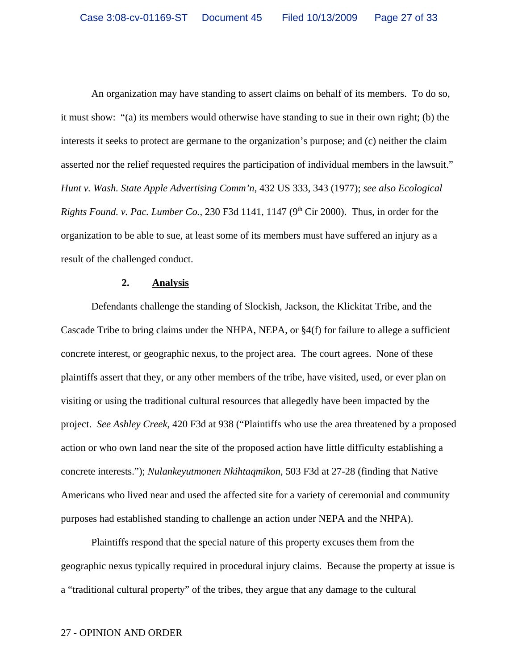An organization may have standing to assert claims on behalf of its members. To do so, it must show: "(a) its members would otherwise have standing to sue in their own right; (b) the interests it seeks to protect are germane to the organization's purpose; and (c) neither the claim asserted nor the relief requested requires the participation of individual members in the lawsuit." *Hunt v. Wash. State Apple Advertising Comm'n*, 432 US 333, 343 (1977); *see also Ecological Rights Found. v. Pac. Lumber Co.*, 230 F3d 1141, 1147 ( $9<sup>th</sup> Cir$  2000). Thus, in order for the organization to be able to sue, at least some of its members must have suffered an injury as a result of the challenged conduct.

### **2. Analysis**

Defendants challenge the standing of Slockish, Jackson, the Klickitat Tribe, and the Cascade Tribe to bring claims under the NHPA, NEPA, or §4(f) for failure to allege a sufficient concrete interest, or geographic nexus, to the project area. The court agrees. None of these plaintiffs assert that they, or any other members of the tribe, have visited, used, or ever plan on visiting or using the traditional cultural resources that allegedly have been impacted by the project. *See Ashley Creek*, 420 F3d at 938 ("Plaintiffs who use the area threatened by a proposed action or who own land near the site of the proposed action have little difficulty establishing a concrete interests."); *Nulankeyutmonen Nkihtaqmikon*, 503 F3d at 27-28 (finding that Native Americans who lived near and used the affected site for a variety of ceremonial and community purposes had established standing to challenge an action under NEPA and the NHPA).

Plaintiffs respond that the special nature of this property excuses them from the geographic nexus typically required in procedural injury claims. Because the property at issue is a "traditional cultural property" of the tribes, they argue that any damage to the cultural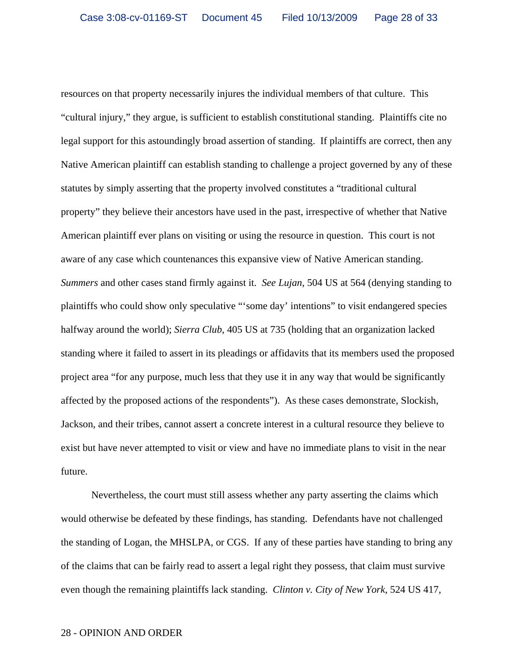resources on that property necessarily injures the individual members of that culture. This "cultural injury," they argue, is sufficient to establish constitutional standing. Plaintiffs cite no legal support for this astoundingly broad assertion of standing. If plaintiffs are correct, then any Native American plaintiff can establish standing to challenge a project governed by any of these statutes by simply asserting that the property involved constitutes a "traditional cultural property" they believe their ancestors have used in the past, irrespective of whether that Native American plaintiff ever plans on visiting or using the resource in question. This court is not aware of any case which countenances this expansive view of Native American standing. *Summers* and other cases stand firmly against it. *See Lujan*, 504 US at 564 (denying standing to plaintiffs who could show only speculative "'some day' intentions" to visit endangered species halfway around the world); *Sierra Club*, 405 US at 735 (holding that an organization lacked standing where it failed to assert in its pleadings or affidavits that its members used the proposed project area "for any purpose, much less that they use it in any way that would be significantly affected by the proposed actions of the respondents"). As these cases demonstrate, Slockish, Jackson, and their tribes, cannot assert a concrete interest in a cultural resource they believe to exist but have never attempted to visit or view and have no immediate plans to visit in the near future.

Nevertheless, the court must still assess whether any party asserting the claims which would otherwise be defeated by these findings, has standing. Defendants have not challenged the standing of Logan, the MHSLPA, or CGS. If any of these parties have standing to bring any of the claims that can be fairly read to assert a legal right they possess, that claim must survive even though the remaining plaintiffs lack standing. *Clinton v. City of New York*, 524 US 417,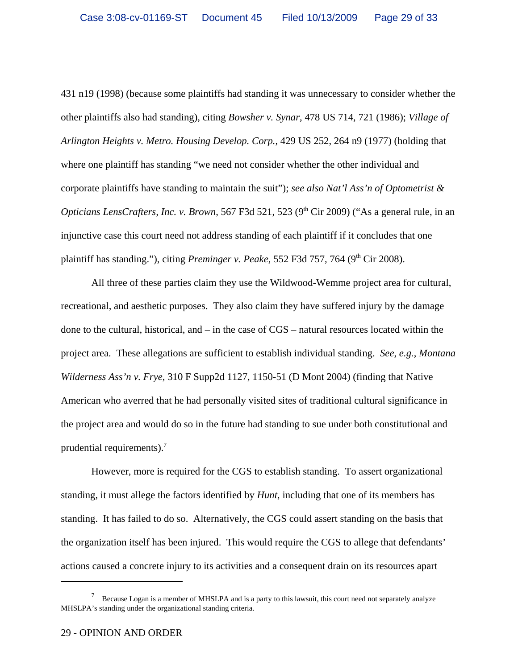431 n19 (1998) (because some plaintiffs had standing it was unnecessary to consider whether the other plaintiffs also had standing), citing *Bowsher v. Synar*, 478 US 714, 721 (1986); *Village of Arlington Heights v. Metro. Housing Develop. Corp.*, 429 US 252, 264 n9 (1977) (holding that where one plaintiff has standing "we need not consider whether the other individual and corporate plaintiffs have standing to maintain the suit"); *see also Nat'l Ass'n of Optometrist & Opticians LensCrafters, Inc. v. Brown,* 567 F3d 521, 523 (9<sup>th</sup> Cir 2009) ("As a general rule, in an injunctive case this court need not address standing of each plaintiff if it concludes that one plaintiff has standing."), citing *Preminger v. Peake*, 552 F3d 757, 764 (9<sup>th</sup> Cir 2008).

All three of these parties claim they use the Wildwood-Wemme project area for cultural, recreational, and aesthetic purposes. They also claim they have suffered injury by the damage done to the cultural, historical, and – in the case of CGS – natural resources located within the project area. These allegations are sufficient to establish individual standing. *See*, *e.g.*, *Montana Wilderness Ass'n v. Frye*, 310 F Supp2d 1127, 1150-51 (D Mont 2004) (finding that Native American who averred that he had personally visited sites of traditional cultural significance in the project area and would do so in the future had standing to sue under both constitutional and prudential requirements).7

However, more is required for the CGS to establish standing. To assert organizational standing, it must allege the factors identified by *Hunt*, including that one of its members has standing. It has failed to do so. Alternatively, the CGS could assert standing on the basis that the organization itself has been injured. This would require the CGS to allege that defendants' actions caused a concrete injury to its activities and a consequent drain on its resources apart

<sup>&</sup>lt;sup>7</sup> Because Logan is a member of MHSLPA and is a party to this lawsuit, this court need not separately analyze MHSLPA's standing under the organizational standing criteria.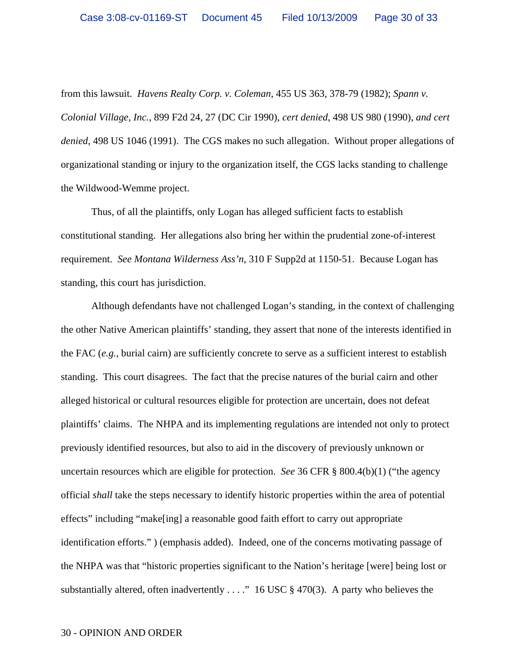from this lawsuit. *Havens Realty Corp. v. Coleman*, 455 US 363, 378-79 (1982); *Spann v. Colonial Village, Inc.*, 899 F2d 24, 27 (DC Cir 1990), *cert denied*, 498 US 980 (1990), *and cert denied*, 498 US 1046 (1991). The CGS makes no such allegation. Without proper allegations of organizational standing or injury to the organization itself, the CGS lacks standing to challenge the Wildwood-Wemme project.

Thus, of all the plaintiffs, only Logan has alleged sufficient facts to establish constitutional standing. Her allegations also bring her within the prudential zone-of-interest requirement. *See Montana Wilderness Ass'n*, 310 F Supp2d at 1150-51. Because Logan has standing, this court has jurisdiction.

Although defendants have not challenged Logan's standing, in the context of challenging the other Native American plaintiffs' standing, they assert that none of the interests identified in the FAC (*e.g.*, burial cairn) are sufficiently concrete to serve as a sufficient interest to establish standing. This court disagrees. The fact that the precise natures of the burial cairn and other alleged historical or cultural resources eligible for protection are uncertain, does not defeat plaintiffs' claims. The NHPA and its implementing regulations are intended not only to protect previously identified resources, but also to aid in the discovery of previously unknown or uncertain resources which are eligible for protection. *See* 36 CFR § 800.4(b)(1) ("the agency official *shall* take the steps necessary to identify historic properties within the area of potential effects" including "make[ing] a reasonable good faith effort to carry out appropriate identification efforts." ) (emphasis added). Indeed, one of the concerns motivating passage of the NHPA was that "historic properties significant to the Nation's heritage [were] being lost or substantially altered, often inadvertently  $\dots$ ." 16 USC § 470(3). A party who believes the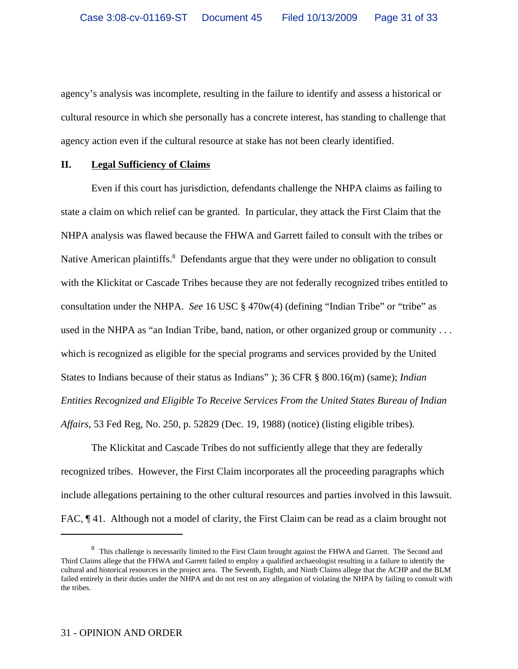agency's analysis was incomplete, resulting in the failure to identify and assess a historical or cultural resource in which she personally has a concrete interest, has standing to challenge that agency action even if the cultural resource at stake has not been clearly identified.

### **II. Legal Sufficiency of Claims**

Even if this court has jurisdiction, defendants challenge the NHPA claims as failing to state a claim on which relief can be granted. In particular, they attack the First Claim that the NHPA analysis was flawed because the FHWA and Garrett failed to consult with the tribes or Native American plaintiffs.<sup>8</sup> Defendants argue that they were under no obligation to consult with the Klickitat or Cascade Tribes because they are not federally recognized tribes entitled to consultation under the NHPA. *See* 16 USC § 470w(4) (defining "Indian Tribe" or "tribe" as used in the NHPA as "an Indian Tribe, band, nation, or other organized group or community . . . which is recognized as eligible for the special programs and services provided by the United States to Indians because of their status as Indians" ); 36 CFR § 800.16(m) (same); *Indian Entities Recognized and Eligible To Receive Services From the United States Bureau of Indian Affairs*, 53 Fed Reg, No. 250, p. 52829 (Dec. 19, 1988) (notice) (listing eligible tribes).

The Klickitat and Cascade Tribes do not sufficiently allege that they are federally recognized tribes. However, the First Claim incorporates all the proceeding paragraphs which include allegations pertaining to the other cultural resources and parties involved in this lawsuit. FAC,  $\P$  41. Although not a model of clarity, the First Claim can be read as a claim brought not

<sup>&</sup>lt;sup>8</sup> This challenge is necessarily limited to the First Claim brought against the FHWA and Garrett. The Second and Third Claims allege that the FHWA and Garrett failed to employ a qualified archaeologist resulting in a failure to identify the cultural and historical resources in the project area. The Seventh, Eighth, and Ninth Claims allege that the ACHP and the BLM failed entirely in their duties under the NHPA and do not rest on any allegation of violating the NHPA by failing to consult with the tribes.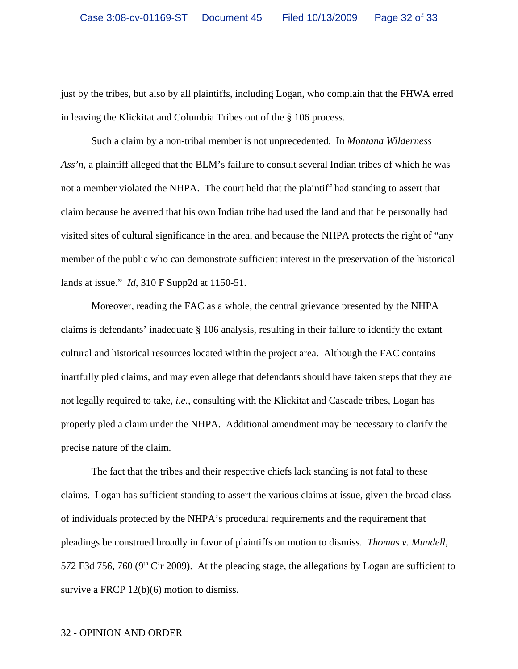just by the tribes, but also by all plaintiffs, including Logan, who complain that the FHWA erred in leaving the Klickitat and Columbia Tribes out of the § 106 process.

Such a claim by a non-tribal member is not unprecedented. In *Montana Wilderness Ass'n*, a plaintiff alleged that the BLM's failure to consult several Indian tribes of which he was not a member violated the NHPA. The court held that the plaintiff had standing to assert that claim because he averred that his own Indian tribe had used the land and that he personally had visited sites of cultural significance in the area, and because the NHPA protects the right of "any member of the public who can demonstrate sufficient interest in the preservation of the historical lands at issue." *Id*, 310 F Supp2d at 1150-51.

Moreover, reading the FAC as a whole, the central grievance presented by the NHPA claims is defendants' inadequate § 106 analysis, resulting in their failure to identify the extant cultural and historical resources located within the project area. Although the FAC contains inartfully pled claims, and may even allege that defendants should have taken steps that they are not legally required to take, *i.e.*, consulting with the Klickitat and Cascade tribes, Logan has properly pled a claim under the NHPA. Additional amendment may be necessary to clarify the precise nature of the claim.

The fact that the tribes and their respective chiefs lack standing is not fatal to these claims. Logan has sufficient standing to assert the various claims at issue, given the broad class of individuals protected by the NHPA's procedural requirements and the requirement that pleadings be construed broadly in favor of plaintiffs on motion to dismiss. *Thomas v. Mundell*, 572 F3d 756, 760 ( $9<sup>th</sup>$  Cir 2009). At the pleading stage, the allegations by Logan are sufficient to survive a FRCP 12(b)(6) motion to dismiss.